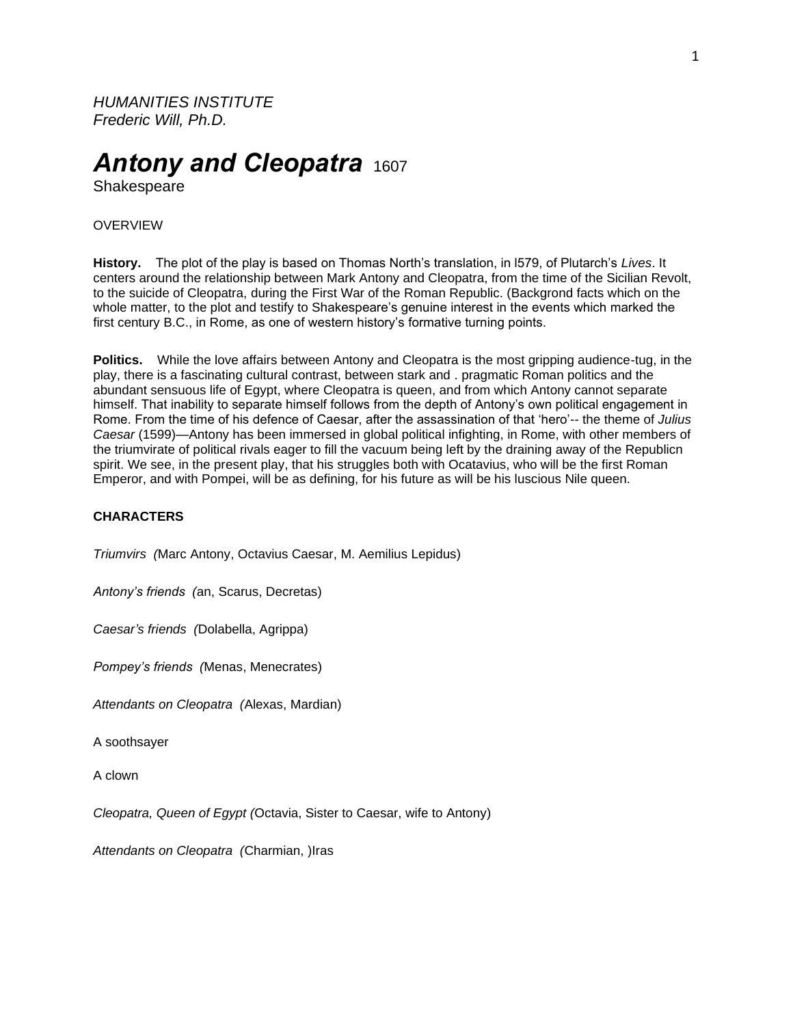*HUMANITIES INSTITUTE Frederic Will, Ph.D.*

# *Antony and Cleopatra* <sup>1607</sup>

Shakespeare

## **OVERVIEW**

**History.** The plot of the play is based on Thomas North's translation, in l579, of Plutarch's *Lives*. It centers around the relationship between Mark Antony and Cleopatra, from the time of the Sicilian Revolt, to the suicide of Cleopatra, during the First War of the Roman Republic. (Backgrond facts which on the whole matter, to the plot and testify to Shakespeare's genuine interest in the events which marked the first century B.C., in Rome, as one of western history's formative turning points.

**Politics.** While the love affairs between Antony and Cleopatra is the most gripping audience-tug, in the play, there is a fascinating cultural contrast, between stark and . pragmatic Roman politics and the abundant sensuous life of Egypt, where Cleopatra is queen, and from which Antony cannot separate himself. That inability to separate himself follows from the depth of Antony's own political engagement in Rome. From the time of his defence of Caesar, after the assassination of that 'hero'-- the theme of *Julius Caesar* (1599)—Antony has been immersed in global political infighting, in Rome, with other members of the triumvirate of political rivals eager to fill the vacuum being left by the draining away of the Republicn spirit. We see, in the present play, that his struggles both with Ocatavius, who will be the first Roman Emperor, and with Pompei, will be as defining, for his future as will be his luscious Nile queen.

# **CHARACTERS**

*Triumvirs (*Marc Antony, Octavius Caesar, M. Aemilius Lepidus)

*Antony's friends (*an, Scarus, Decretas)

*Caesar's friends (*Dolabella, Agrippa)

*Pompey's friends (*Menas, Menecrates)

*Attendants on Cleopatra (*Alexas, Mardian)

A soothsayer

A clown

*Cleopatra, Queen of Egypt (*Octavia, Sister to Caesar, wife to Antony)

*Attendants on Cleopatra (*Charmian, )Iras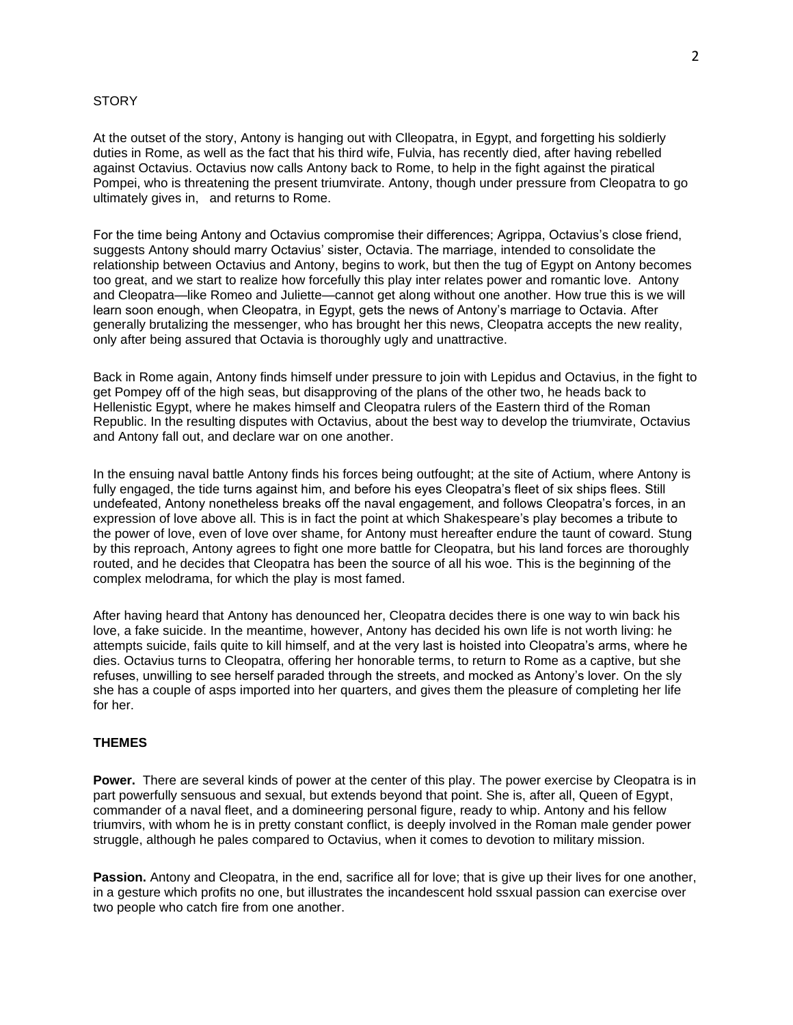# **STORY**

At the outset of the story, Antony is hanging out with Clleopatra, in Egypt, and forgetting his soldierly duties in Rome, as well as the fact that his third wife, Fulvia, has recently died, after having rebelled against Octavius. Octavius now calls Antony back to Rome, to help in the fight against the piratical Pompei, who is threatening the present triumvirate. Antony, though under pressure from Cleopatra to go ultimately gives in, and returns to Rome.

For the time being Antony and Octavius compromise their differences; Agrippa, Octavius's close friend, suggests Antony should marry Octavius' sister, Octavia. The marriage, intended to consolidate the relationship between Octavius and Antony, begins to work, but then the tug of Egypt on Antony becomes too great, and we start to realize how forcefully this play inter relates power and romantic love. Antony and Cleopatra—like Romeo and Juliette—cannot get along without one another. How true this is we will learn soon enough, when Cleopatra, in Egypt, gets the news of Antony's marriage to Octavia. After generally brutalizing the messenger, who has brought her this news, Cleopatra accepts the new reality, only after being assured that Octavia is thoroughly ugly and unattractive.

Back in Rome again, Antony finds himself under pressure to join with Lepidus and Octavius, in the fight to get Pompey off of the high seas, but disapproving of the plans of the other two, he heads back to Hellenistic Egypt, where he makes himself and Cleopatra rulers of the Eastern third of the Roman Republic. In the resulting disputes with Octavius, about the best way to develop the triumvirate, Octavius and Antony fall out, and declare war on one another.

In the ensuing naval battle Antony finds his forces being outfought; at the site of Actium, where Antony is fully engaged, the tide turns against him, and before his eyes Cleopatra's fleet of six ships flees. Still undefeated, Antony nonetheless breaks off the naval engagement, and follows Cleopatra's forces, in an expression of love above all. This is in fact the point at which Shakespeare's play becomes a tribute to the power of love, even of love over shame, for Antony must hereafter endure the taunt of coward. Stung by this reproach, Antony agrees to fight one more battle for Cleopatra, but his land forces are thoroughly routed, and he decides that Cleopatra has been the source of all his woe. This is the beginning of the complex melodrama, for which the play is most famed.

After having heard that Antony has denounced her, Cleopatra decides there is one way to win back his love, a fake suicide. In the meantime, however, Antony has decided his own life is not worth living: he attempts suicide, fails quite to kill himself, and at the very last is hoisted into Cleopatra's arms, where he dies. Octavius turns to Cleopatra, offering her honorable terms, to return to Rome as a captive, but she refuses, unwilling to see herself paraded through the streets, and mocked as Antony's lover. On the sly she has a couple of asps imported into her quarters, and gives them the pleasure of completing her life for her.

# **THEMES**

**Power.** There are several kinds of power at the center of this play. The power exercise by Cleopatra is in part powerfully sensuous and sexual, but extends beyond that point. She is, after all, Queen of Egypt, commander of a naval fleet, and a domineering personal figure, ready to whip. Antony and his fellow triumvirs, with whom he is in pretty constant conflict, is deeply involved in the Roman male gender power struggle, although he pales compared to Octavius, when it comes to devotion to military mission.

**Passion.** Antony and Cleopatra, in the end, sacrifice all for love; that is give up their lives for one another, in a gesture which profits no one, but illustrates the incandescent hold ssxual passion can exercise over two people who catch fire from one another.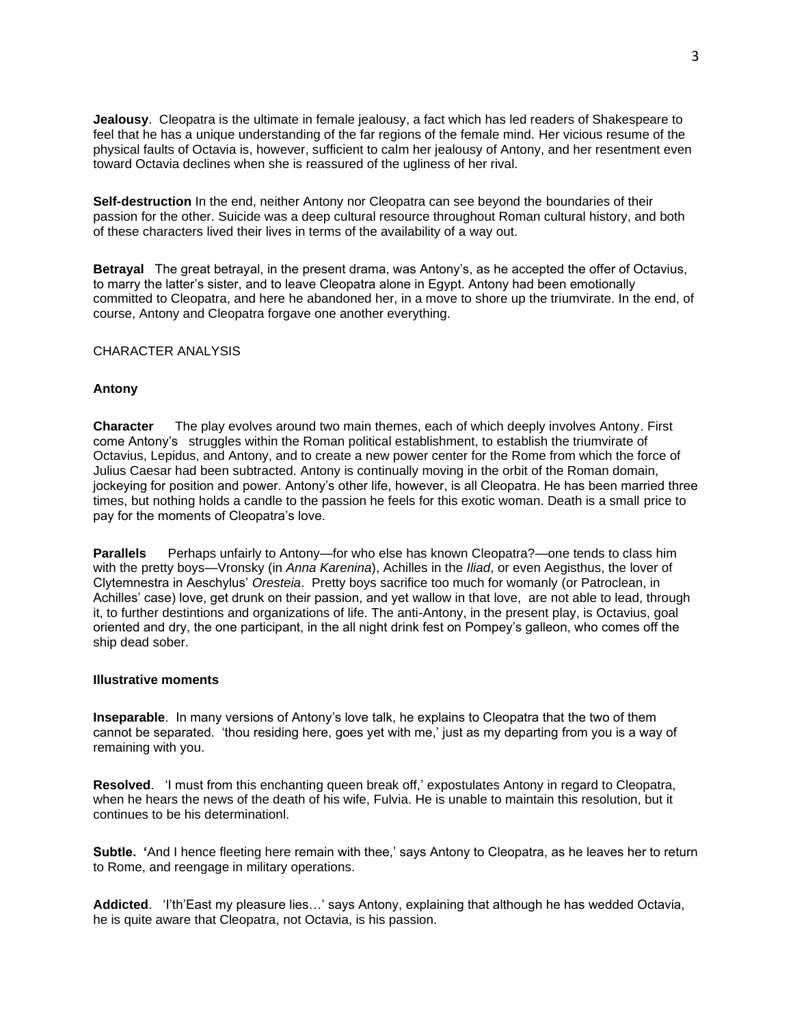**Jealousy**. Cleopatra is the ultimate in female jealousy, a fact which has led readers of Shakespeare to feel that he has a unique understanding of the far regions of the female mind. Her vicious resume of the physical faults of Octavia is, however, sufficient to calm her jealousy of Antony, and her resentment even toward Octavia declines when she is reassured of the ugliness of her rival.

**Self-destruction** In the end, neither Antony nor Cleopatra can see beyond the boundaries of their passion for the other. Suicide was a deep cultural resource throughout Roman cultural history, and both of these characters lived their lives in terms of the availability of a way out.

**Betrayal** The great betrayal, in the present drama, was Antony's, as he accepted the offer of Octavius, to marry the latter's sister, and to leave Cleopatra alone in Egypt. Antony had been emotionally committed to Cleopatra, and here he abandoned her, in a move to shore up the triumvirate. In the end, of course, Antony and Cleopatra forgave one another everything.

CHARACTER ANALYSIS

## **Antony**

**Character** The play evolves around two main themes, each of which deeply involves Antony. First come Antony's struggles within the Roman political establishment, to establish the triumvirate of Octavius, Lepidus, and Antony, and to create a new power center for the Rome from which the force of Julius Caesar had been subtracted. Antony is continually moving in the orbit of the Roman domain, jockeying for position and power. Antony's other life, however, is all Cleopatra. He has been married three times, but nothing holds a candle to the passion he feels for this exotic woman. Death is a small price to pay for the moments of Cleopatra's love.

**Parallels** Perhaps unfairly to Antony—for who else has known Cleopatra?—one tends to class him with the pretty boys—Vronsky (in *Anna Karenina*), Achilles in the *Iliad*, or even Aegisthus, the lover of Clytemnestra in Aeschylus' *Oresteia*. Pretty boys sacrifice too much for womanly (or Patroclean, in Achilles' case) love, get drunk on their passion, and yet wallow in that love, are not able to lead, through it, to further destintions and organizations of life. The anti-Antony, in the present play, is Octavius, goal oriented and dry, the one participant, in the all night drink fest on Pompey's galleon, who comes off the ship dead sober.

#### **Illustrative moments**

**Inseparable**. In many versions of Antony's love talk, he explains to Cleopatra that the two of them cannot be separated. 'thou residing here, goes yet with me,' just as my departing from you is a way of remaining with you.

**Resolved**. 'I must from this enchanting queen break off,' expostulates Antony in regard to Cleopatra, when he hears the news of the death of his wife, Fulvia. He is unable to maintain this resolution, but it continues to be his determinationl.

**Subtle. '**And I hence fleeting here remain with thee,' says Antony to Cleopatra, as he leaves her to return to Rome, and reengage in military operations.

**Addicted**. 'I'th'East my pleasure lies…' says Antony, explaining that although he has wedded Octavia, he is quite aware that Cleopatra, not Octavia, is his passion.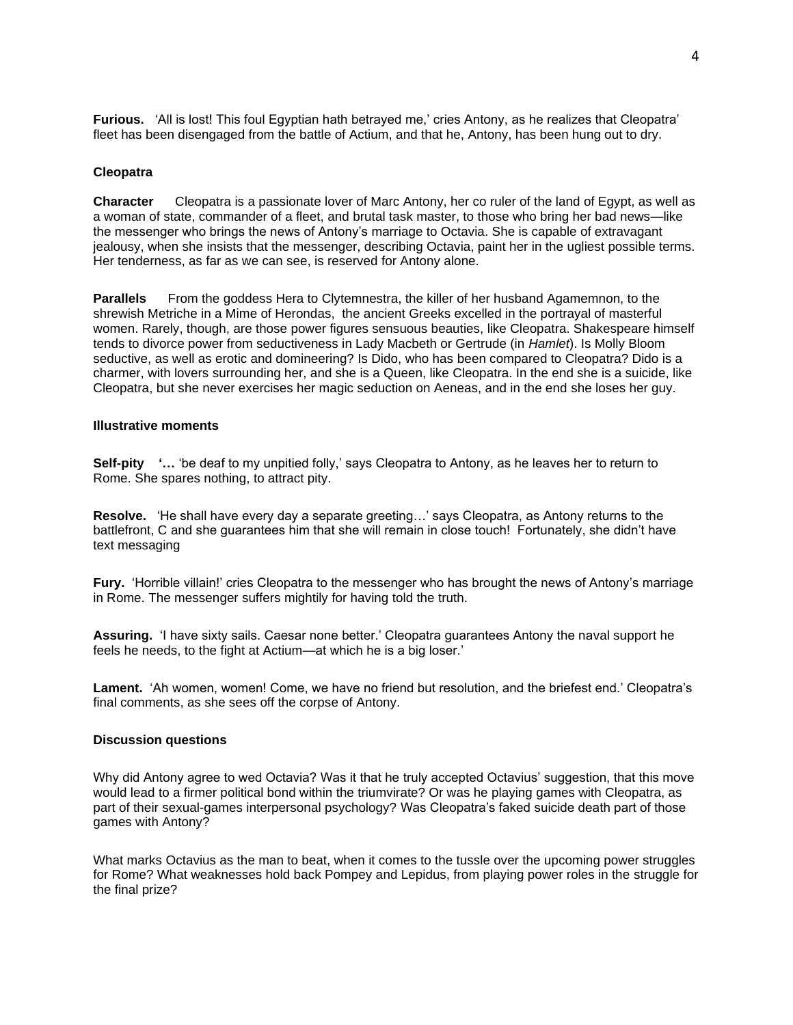**Furious.** 'All is lost! This foul Egyptian hath betrayed me,' cries Antony, as he realizes that Cleopatra' fleet has been disengaged from the battle of Actium, and that he, Antony, has been hung out to dry.

#### **Cleopatra**

**Character** Cleopatra is a passionate lover of Marc Antony, her co ruler of the land of Egypt, as well as a woman of state, commander of a fleet, and brutal task master, to those who bring her bad news—like the messenger who brings the news of Antony's marriage to Octavia. She is capable of extravagant jealousy, when she insists that the messenger, describing Octavia, paint her in the ugliest possible terms. Her tenderness, as far as we can see, is reserved for Antony alone.

**Parallels** From the goddess Hera to Clytemnestra, the killer of her husband Agamemnon, to the shrewish Metriche in a Mime of Herondas, the ancient Greeks excelled in the portrayal of masterful women. Rarely, though, are those power figures sensuous beauties, like Cleopatra. Shakespeare himself tends to divorce power from seductiveness in Lady Macbeth or Gertrude (in *Hamlet*). Is Molly Bloom seductive, as well as erotic and domineering? Is Dido, who has been compared to Cleopatra? Dido is a charmer, with lovers surrounding her, and she is a Queen, like Cleopatra. In the end she is a suicide, like Cleopatra, but she never exercises her magic seduction on Aeneas, and in the end she loses her guy.

#### **Illustrative moments**

**Self-pity '…** 'be deaf to my unpitied folly,' says Cleopatra to Antony, as he leaves her to return to Rome. She spares nothing, to attract pity.

**Resolve.** 'He shall have every day a separate greeting…' says Cleopatra, as Antony returns to the battlefront, C and she guarantees him that she will remain in close touch! Fortunately, she didn't have text messaging

**Fury.** 'Horrible villain!' cries Cleopatra to the messenger who has brought the news of Antony's marriage in Rome. The messenger suffers mightily for having told the truth.

**Assuring.** 'I have sixty sails. Caesar none better.' Cleopatra guarantees Antony the naval support he feels he needs, to the fight at Actium—at which he is a big loser.'

**Lament.** 'Ah women, women! Come, we have no friend but resolution, and the briefest end.' Cleopatra's final comments, as she sees off the corpse of Antony.

#### **Discussion questions**

Why did Antony agree to wed Octavia? Was it that he truly accepted Octavius' suggestion, that this move would lead to a firmer political bond within the triumvirate? Or was he playing games with Cleopatra, as part of their sexual-games interpersonal psychology? Was Cleopatra's faked suicide death part of those games with Antony?

What marks Octavius as the man to beat, when it comes to the tussle over the upcoming power struggles for Rome? What weaknesses hold back Pompey and Lepidus, from playing power roles in the struggle for the final prize?